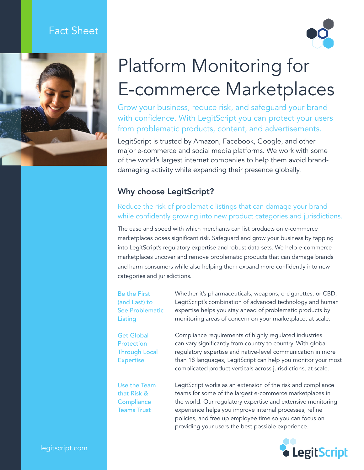# Fact Sheet





# Platform Monitoring for E-commerce Marketplaces

Grow your business, reduce risk, and safeguard your brand with confidence. With LegitScript you can protect your users from problematic products, content, and advertisements.

LegitScript is trusted by Amazon, Facebook, Google, and other major e-commerce and social media platforms. We work with some of the world's largest internet companies to help them avoid branddamaging activity while expanding their presence globally.

### Why choose LegitScript?

#### Reduce the risk of problematic listings that can damage your brand while confidently growing into new product categories and jurisdictions.

The ease and speed with which merchants can list products on e-commerce marketplaces poses significant risk. Safeguard and grow your business by tapping into LegitScript's regulatory expertise and robust data sets. We help e-commerce marketplaces uncover and remove problematic products that can damage brands and harm consumers while also helping them expand more confidently into new categories and jurisdictions.

Be the First (and Last) to See Problematic Listing

Get Global **Protection** Through Local Expertise

Use the Team that Risk & **Compliance** Teams Trust

Whether it's pharmaceuticals, weapons, e-cigarettes, or CBD, LegitScript's combination of advanced technology and human expertise helps you stay ahead of problematic products by monitoring areas of concern on your marketplace, at scale.

Compliance requirements of highly regulated industries can vary significantly from country to country. With global regulatory expertise and native-level communication in more than 18 languages, LegitScript can help you monitor your most complicated product verticals across jurisdictions, at scale.

LegitScript works as an extension of the risk and compliance teams for some of the largest e-commerce marketplaces in the world. Our regulatory expertise and extensive monitoring experience helps you improve internal processes, refine policies, and free up employee time so you can focus on providing your users the best possible experience.



legitscript.com